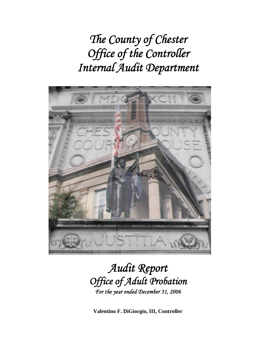*The County of Chester Office of the Controller Internal Audit Department* 



# *Audit Report Office of Adult Probation For the year ended December 31, 2006*

**Valentino F. DiGiorgio, III, Controller**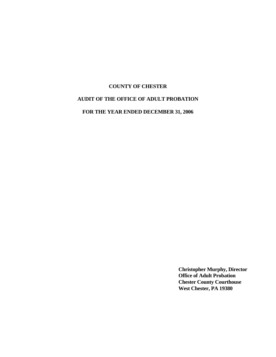# **COUNTY OF CHESTER AUDIT OF THE OFFICE OF ADULT PROBATION**

**FOR THE YEAR ENDED DECEMBER 31, 2006** 

**Christopher Murphy, Director Office of Adult Probation Chester County Courthouse West Chester, PA 19380**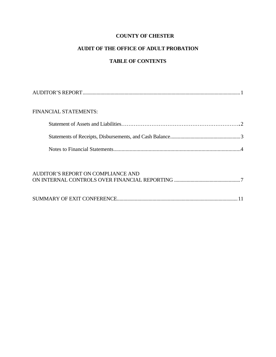# **AUDIT OF THE OFFICE OF ADULT PROBATION**

# **TABLE OF CONTENTS**

| <b>FINANCIAL STATEMENTS:</b> |  |
|------------------------------|--|
|                              |  |
|                              |  |
|                              |  |

| AUDITOR'S REPORT ON COMPLIANCE AND |  |
|------------------------------------|--|
|                                    |  |
|                                    |  |
|                                    |  |
|                                    |  |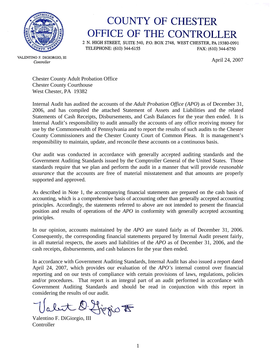

# **COUNTY OF CHESTER** OFFICE OF THE CONTROLLER

2 N. HIGH STREET, SUITE 540, P.O. BOX 2748, WEST CHESTER, PA 19380-0991 TELEPHONE: (610) 344-6155 FAX: (610) 344-6750

April 24, 2007

VALENTINO F. DIGIORGIO, III Controller

> Chester County Adult Probation Office Chester County Courthouse West Chester, PA 19382

Internal Audit has audited the accounts of the *Adult Probation Office (APO*) as of December 31, 2006, and has compiled the attached Statement of Assets and Liabilities and the related Statements of Cash Receipts, Disbursements, and Cash Balances for the year then ended. It is Internal Audit's responsibility to audit annually the accounts of any office receiving money for use by the Commonwealth of Pennsylvania and to report the results of such audits to the Chester County Commissioners and the Chester County Court of Common Pleas. It is management's responsibility to maintain, update, and reconcile these accounts on a continuous basis.

Our audit was conducted in accordance with generally accepted auditing standards and the Government Auditing Standards issued by the Comptroller General of the United States. Those standards require that we plan and perform the audit in a manner that will provide *reasonable assurance* that the accounts are free of material misstatement and that amounts are properly supported and approved.

As described in Note 1, the accompanying financial statements are prepared on the cash basis of accounting, which is a comprehensive basis of accounting other than generally accepted accounting principles. Accordingly, the statements referred to above are not intended to present the financial position and results of operations of the *APO* in conformity with generally accepted accounting principles.

In our opinion, accounts maintained by the *APO* are stated fairly as of December 31, 2006. Consequently, the corresponding financial statements prepared by Internal Audit present fairly, in all material respects, the assets and liabilities of the *APO* as of December 31, 2006, and the cash receipts, disbursements, and cash balances for the year then ended.

In accordance with Government Auditing Standards, Internal Audit has also issued a report dated April 24, 2007, which provides our evaluation of the *APO's* internal control over financial reporting and on our tests of compliance with certain provisions of laws, regulations, policies and/or procedures. That report is an integral part of an audit performed in accordance with Government Auditing Standards and should be read in conjunction with this report in considering the results of our audit.

Figgio to

Valentino F. DiGiorgio, III Controller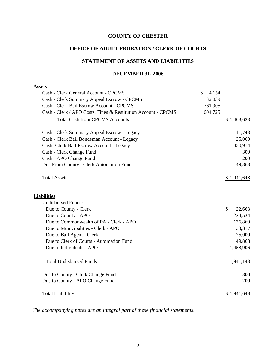#### **OFFICE OF ADULT PROBATION / CLERK OF COURTS**

#### **STATEMENT OF ASSETS AND LIABILITIES**

#### **DECEMBER 31, 2006**

# **Assets** Cash - Clerk General Account - CPCMS \$ 4,154 Cash - Clerk Summary Appeal Escrow - CPCMS 32,839 Cash - Clerk Bail Escrow Account - CPCMS 761,905 Cash - Clerk / APO Costs, Fines & Restitution Account - CPCMS 604,725 Total Cash from CPCMS Accounts  $$1,403,623$ Cash - Clerk Summary Appeal Escrow - Legacy 11,743 Cash - Clerk Bail Bondsman Account - Legacy 25,000 Cash- Clerk Bail Escrow Account - Legacy 450,914 Cash - Clerk Change Fund 300 Cash - APO Change Fund 200 Due From County - Clerk Automation Fund 49,868 Total Assets  $\$$  1,941,648 **Liabilities** Undisbursed Funds: Due to County - Clerk  $\qquad$   $22,663$ Due to County - APO 224,534 Due to Commonwealth of PA - Clerk / APO 126,860 Due to Municipalities - Clerk / APO 33,317 Due to Bail Agent - Clerk 25,000 Due to Clerk of Courts - Automation Fund 49,868 Due to Individuals - APO 1,458,906 Total Undisbursed Funds 1,941,148 Due to County - Clerk Change Fund 300 Due to County - APO Change Fund 200 Total Liabilities  $$ 1,941,648$

*The accompanying notes are an integral part of these financial statements.*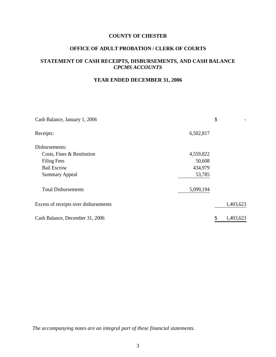# **OFFICE OF ADULT PROBATION / CLERK OF COURTS**

# **STATEMENT OF CASH RECEIPTS, DISBURSEMENTS, AND CASH BALANCE**  *CPCMS ACCOUNTS*

# **YEAR ENDED DECEMBER 31, 2006**

| Cash Balance, January 1, 2006         |           | \$        |
|---------------------------------------|-----------|-----------|
| Receipts:                             | 6,502,817 |           |
| Disbursements:                        |           |           |
| Costs, Fines & Restitution            | 4,559,822 |           |
| <b>Filing Fees</b>                    | 50,608    |           |
| <b>Bail Escrow</b>                    | 434,979   |           |
| <b>Summary Appeal</b>                 | 53,785    |           |
| <b>Total Disbursements</b>            | 5,099,194 |           |
| Excess of receipts over disbursements |           | 1,403,623 |
| Cash Balance, December 31, 2006       |           | 1,403,623 |

*The accompanying notes are an integral part of these financial statements.*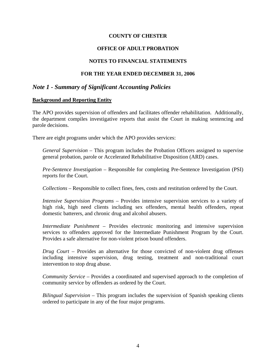# **OFFICE OF ADULT PROBATION**

# **NOTES TO FINANCIAL STATEMENTS**

# **FOR THE YEAR ENDED DECEMBER 31, 2006**

# *Note 1 - Summary of Significant Accounting Policies*

#### **Background and Reporting Entity**

The APO provides supervision of offenders and facilitates offender rehabilitation. Additionally, the department compiles investigative reports that assist the Court in making sentencing and parole decisions.

There are eight programs under which the APO provides services:

*General Supervision* – This program includes the Probation Officers assigned to supervise general probation, parole or Accelerated Rehabilitative Disposition (ARD) cases.

*Pre-Sentence Investigation* – Responsible for completing Pre-Sentence Investigation (PSI) reports for the Court.

*Collections* – Responsible to collect fines, fees, costs and restitution ordered by the Court.

*Intensive Supervision Programs* – Provides intensive supervision services to a variety of high risk, high need clients including sex offenders, mental health offenders, repeat domestic batterers, and chronic drug and alcohol abusers.

*Intermediate Punishment* – Provides electronic monitoring and intensive supervision services to offenders approved for the Intermediate Punishment Program by the Court. Provides a safe alternative for non-violent prison bound offenders.

*Drug Court* – Provides an alternative for those convicted of non-violent drug offenses including intensive supervision, drug testing, treatment and non-traditional court intervention to stop drug abuse.

*Community Service* – Provides a coordinated and supervised approach to the completion of community service by offenders as ordered by the Court.

*Bilingual Supervision* – This program includes the supervision of Spanish speaking clients ordered to participate in any of the four major programs.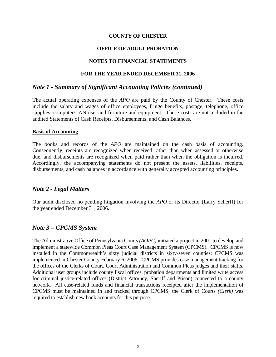# **OFFICE OF ADULT PROBATION**

# **NOTES TO FINANCIAL STATEMENTS**

#### **FOR THE YEAR ENDED DECEMBER 31, 2006**

# *Note 1 - Summary of Significant Accounting Policies (continued)*

The actual operating expenses of the *APO* are paid by the County of Chester. These costs include the salary and wages of office employees, fringe benefits, postage, telephone, office supplies, computer/LAN use, and furniture and equipment. These costs are not included in the audited Statements of Cash Receipts, Disbursements, and Cash Balances.

#### **Basis of Accounting**

The books and records of the *APO* are maintained on the cash basis of accounting. Consequently, receipts are recognized when received rather than when assessed or otherwise due, and disbursements are recognized when paid rather than when the obligation is incurred. Accordingly, the accompanying statements do not present the assets, liabilities, receipts, disbursements, and cash balances in accordance with generally accepted accounting principles.

# *Note 2 - Legal Matters*

Our audit disclosed no pending litigation involving the *APO* or its Director (Larry Scherff) for the year ended December 31, 2006.

# *Note 3 – CPCMS System*

The Administrative Office of Pennsylvania Courts *(AOPC)* initiated a project in 2001 to develop and implement a statewide Common Pleas Court Case Management System (CPCMS). CPCMS is now installed in the Commonwealth's sixty judicial districts in sixty-seven counties; CPCMS was implemented in Chester County February 6, 2006. CPCMS provides case management tracking for the offices of the Clerks of Court, Court Administration and Common Pleas judges and their staffs. Additional user groups include county fiscal offices, probation departments and limited write access for criminal justice-related offices (District Attorney, Sheriff and Prison) connected to a county network. All case-related funds and financial transactions receipted after the implementation of CPCMS must be maintained in and tracked through CPCMS; the Clerk of Courts *(Clerk)* was required to establish new bank accounts for this purpose.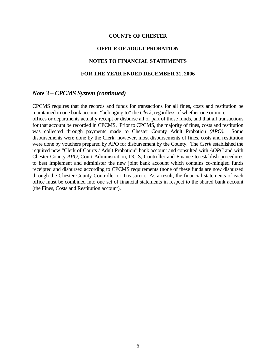## **OFFICE OF ADULT PROBATION**

#### **NOTES TO FINANCIAL STATEMENTS**

#### **FOR THE YEAR ENDED DECEMBER 31, 2006**

#### *Note 3 – CPCMS System (continued)*

CPCMS requires that the records and funds for transactions for all fines, costs and restitution be maintained in one bank account "belonging to" the *Clerk*, regardless of whether one or more offices or departments actually receipt or disburse all or part of those funds, and that all transactions for that account be recorded in CPCMS. Prior to CPCMS, the majority of fines, costs and restitution was collected through payments made to Chester County Adult Probation *(APO).* Some disbursements were done by the Clerk; however, most disbursements of fines, costs and restitution were done by vouchers prepared by APO for disbursement by the County. The *Clerk* established the required new "Clerk of Courts / Adult Probation" bank account and consulted with *AOPC* and with Chester County *APO*, Court Administration, DCIS, Controller and Finance to establish procedures to best implement and administer the new joint bank account which contains co-mingled funds receipted and disbursed according to CPCMS requirements (none of these funds are now disbursed through the Chester County Controller or Treasurer). As a result, the financial statements of each office must be combined into one set of financial statements in respect to the shared bank account (the Fines, Costs and Restitution account).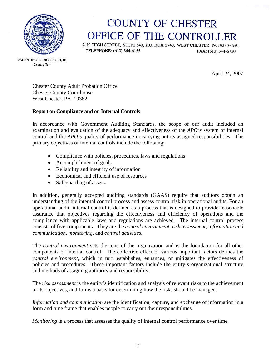

# **COUNTY OF CHESTER** OFFICE OF THE CONTROLLER

2 N. HIGH STREET, SUITE 540, P.O. BOX 2748, WEST CHESTER, PA 19380-0991 TELEPHONE: (610) 344-6155 FAX: (610) 344-6750

VALENTINO F. DIGIORGIO, III Controller

April 24, 2007

Chester County Adult Probation Office Chester County Courthouse West Chester, PA 19382

# **Report on Compliance and on Internal Controls**

In accordance with Government Auditing Standards, the scope of our audit included an examination and evaluation of the adequacy and effectiveness of the *APO's* system of internal control and the *APO's* quality of performance in carrying out its assigned responsibilities. The primary objectives of internal controls include the following:

- Compliance with policies, procedures, laws and regulations
- Accomplishment of goals
- Reliability and integrity of information
- Economical and efficient use of resources
- Safeguarding of assets.

In addition, generally accepted auditing standards (GAAS) require that auditors obtain an understanding of the internal control process and assess control risk in operational audits. For an operational audit, internal control is defined as a process that is designed to provide reasonable assurance that objectives regarding the effectiveness and efficiency of operations and the compliance with applicable laws and regulations are achieved. The internal control process consists of five components. They are the *control environment*, *risk assessment*, *information and communication*, *monitoring*, and *control activities*.

The *control environment* sets the tone of the organization and is the foundation for all other components of internal control. The collective effect of various important factors defines the *control environment,* which in turn establishes, enhances, or mitigates the effectiveness of policies and procedures. These important factors include the entity's organizational structure and methods of assigning authority and responsibility.

The *risk assessment* is the entity's identification and analysis of relevant risks to the achievement of its objectives, and forms a basis for determining how the risks should be managed.

*Information and communication* are the identification, capture, and exchange of information in a form and time frame that enables people to carry out their responsibilities.

*Monitoring* is a process that assesses the quality of internal control performance over time.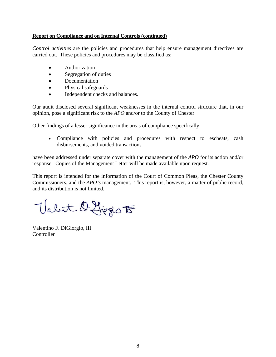# **Report on Compliance and on Internal Controls (continued)**

*Control activities* are the policies and procedures that help ensure management directives are carried out. These policies and procedures may be classified as:

- Authorization
- Segregation of duties
- **Documentation**
- Physical safeguards
- Independent checks and balances.

Our audit disclosed several significant weaknesses in the internal control structure that, in our opinion, pose a significant risk to the *APO* and/or to the County of Chester:

Other findings of a lesser significance in the areas of compliance specifically:

• Compliance with policies and procedures with respect to escheats, cash disbursements, and voided transactions

have been addressed under separate cover with the management of the *APO* for its action and/or response. Copies of the Management Letter will be made available upon request.

This report is intended for the information of the Court of Common Pleas, the Chester County Commissioners, and the *APO's* management. This report is, however, a matter of public record, and its distribution is not limited.

Valet D. Ljegio F

Valentino F. DiGiorgio, III **Controller**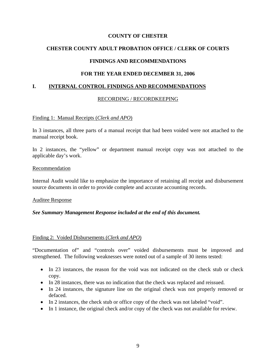# **CHESTER COUNTY ADULT PROBATION OFFICE / CLERK OF COURTS**

# **FINDINGS AND RECOMMENDATIONS**

# **FOR THE YEAR ENDED DECEMBER 31, 2006**

## **I. INTERNAL CONTROL FINDINGS AND RECOMMENDATIONS**

## RECORDING / RECORDKEEPING

## Finding 1: Manual Receipts (*Clerk and APO*)

In 3 instances, all three parts of a manual receipt that had been voided were not attached to the manual receipt book.

In 2 instances, the "yellow" or department manual receipt copy was not attached to the applicable day's work.

#### Recommendation

Internal Audit would like to emphasize the importance of retaining all receipt and disbursement source documents in order to provide complete and accurate accounting records.

Auditee Response

## *See Summary Management Response included at the end of this document.*

#### Finding 2: Voided Disbursements (*Clerk and APO*)

"Documentation of" and "controls over" voided disbursements must be improved and strengthened. The following weaknesses were noted out of a sample of 30 items tested:

- In 23 instances, the reason for the void was not indicated on the check stub or check copy.
- In 28 instances, there was no indication that the check was replaced and reissued.
- In 24 instances, the signature line on the original check was not properly removed or defaced.
- In 2 instances, the check stub or office copy of the check was not labeled "void".
- In 1 instance, the original check and/or copy of the check was not available for review.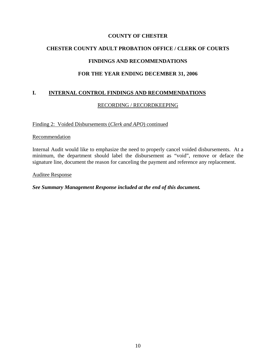# **CHESTER COUNTY ADULT PROBATION OFFICE / CLERK OF COURTS FINDINGS AND RECOMMENDATIONS**

# **FOR THE YEAR ENDING DECEMBER 31, 2006**

# **I. INTERNAL CONTROL FINDINGS AND RECOMMENDATIONS**

# RECORDING / RECORDKEEPING

Finding 2: Voided Disbursements (*Clerk and APO*) continued

#### **Recommendation**

Internal Audit would like to emphasize the need to properly cancel voided disbursements. At a minimum, the department should label the disbursement as "void", remove or deface the signature line, document the reason for canceling the payment and reference any replacement.

#### Auditee Response

## *See Summary Management Response included at the end of this document.*